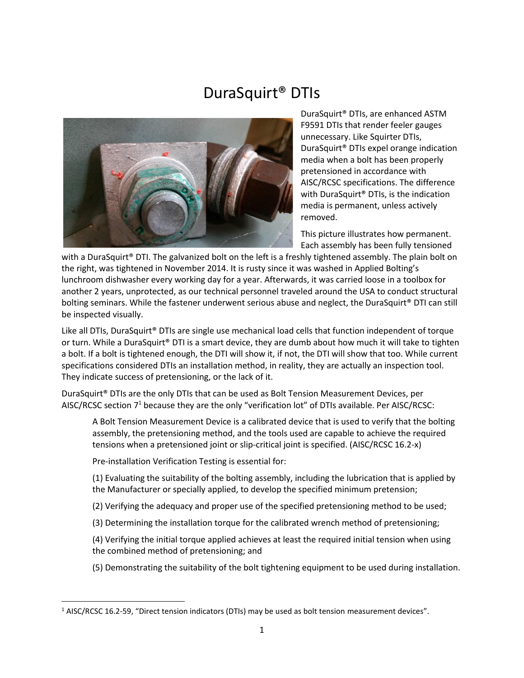# DuraSquirt® DTIs



DuraSquirt® DTIs, are enhanced ASTM F9591 DTIs that render feeler gauges unnecessary. Like Squirter DTIs, DuraSquirt® DTIs expel orange indication media when a bolt has been properly pretensioned in accordance with AISC/RCSC specifications. The difference with DuraSquirt® DTIs, is the indication media is permanent, unless actively removed.

This picture illustrates how permanent. Each assembly has been fully tensioned

with a DuraSquirt<sup>®</sup> DTI. The galvanized bolt on the left is a freshly tightened assembly. The plain bolt on the right, was tightened in November 2014. It is rusty since it was washed in Applied Bolting's lunchroom dishwasher every working day for a year. Afterwards, it was carried loose in a toolbox for another 2 years, unprotected, as our technical personnel traveled around the USA to conduct structural bolting seminars. While the fastener underwent serious abuse and neglect, the DuraSquirt® DTI can still be inspected visually.

Like all DTIs, DuraSquirt® DTIs are single use mechanical load cells that function independent of torque or turn. While a DuraSquirt® DTI is a smart device, they are dumb about how much it will take to tighten a bolt. If a bolt is tightened enough, the DTI will show it, if not, the DTI will show that too. While current specifications considered DTIs an installation method, in reality, they are actually an inspection tool. They indicate success of pretensioning, or the lack of it.

DuraSquirt® DTIs are the only DTIs that can be used as Bolt Tension Measurement Devices, per AISC/RCSC section 7<sup>1</sup> because they are the only "verification lot" of DTIs available. Per AISC/RCSC:

A Bolt Tension Measurement Device is a calibrated device that is used to verify that the bolting assembly, the pretensioning method, and the tools used are capable to achieve the required tensions when a pretensioned joint or slip-critical joint is specified. (AISC/RCSC 16.2-x)

Pre-installation Verification Testing is essential for:

(1) Evaluating the suitability of the bolting assembly, including the lubrication that is applied by the Manufacturer or specially applied, to develop the specified minimum pretension;

- (2) Verifying the adequacy and proper use of the specified pretensioning method to be used;
- (3) Determining the installation torque for the calibrated wrench method of pretensioning;

(4) Verifying the initial torque applied achieves at least the required initial tension when using the combined method of pretensioning; and

(5) Demonstrating the suitability of the bolt tightening equipment to be used during installation.

<sup>1</sup> AISC/RCSC 16.2-59, "Direct tension indicators (DTIs) may be used as bolt tension measurement devices".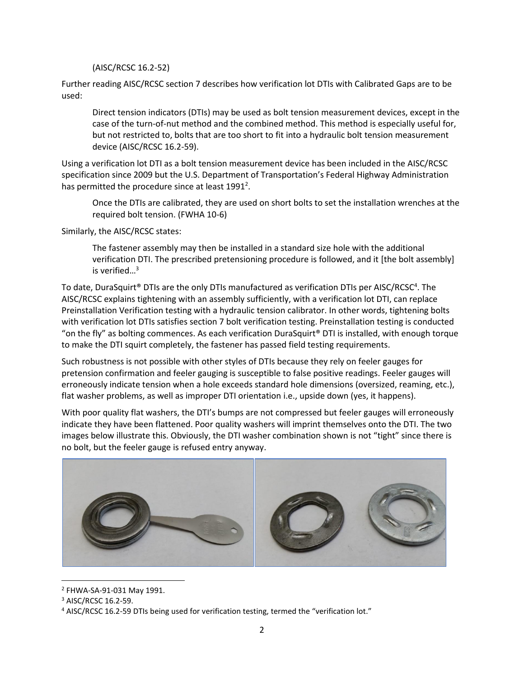(AISC/RCSC 16.2-52)

Further reading AISC/RCSC section 7 describes how verification lot DTIs with Calibrated Gaps are to be used:

Direct tension indicators (DTIs) may be used as bolt tension measurement devices, except in the case of the turn-of-nut method and the combined method. This method is especially useful for, but not restricted to, bolts that are too short to fit into a hydraulic bolt tension measurement device (AISC/RCSC 16.2-59).

Using a verification lot DTI as a bolt tension measurement device has been included in the AISC/RCSC specification since 2009 but the U.S. Department of Transportation's Federal Highway Administration has permitted the procedure since at least  $1991^2$ .

Once the DTIs are calibrated, they are used on short bolts to set the installation wrenches at the required bolt tension. (FWHA 10-6)

Similarly, the AISC/RCSC states:

The fastener assembly may then be installed in a standard size hole with the additional verification DTI. The prescribed pretensioning procedure is followed, and it [the bolt assembly] is verified $\mathbb{R}^3$ 

To date, DuraSquirt® DTIs are the only DTIs manufactured as verification DTIs per AISC/RCSC<sup>4</sup>. The AISC/RCSC explains tightening with an assembly sufficiently, with a verification lot DTI, can replace Preinstallation Verification testing with a hydraulic tension calibrator. In other words, tightening bolts with verification lot DTIs satisfies section 7 bolt verification testing. Preinstallation testing is conducted "on the fly" as bolting commences. As each verification DuraSquirt<sup>®</sup> DTI is installed, with enough torque to make the DTI squirt completely, the fastener has passed field testing requirements.

Such robustness is not possible with other styles of DTIs because they rely on feeler gauges for pretension confirmation and feeler gauging is susceptible to false positive readings. Feeler gauges will erroneously indicate tension when a hole exceeds standard hole dimensions (oversized, reaming, etc.), flat washer problems, as well as improper DTI orientation i.e., upside down (yes, it happens).

With poor quality flat washers, the DTI's bumps are not compressed but feeler gauges will erroneously indicate they have been flattened. Poor quality washers will imprint themselves onto the DTI. The two images below illustrate this. Obviously, the DTI washer combination shown is not "tight" since there is no bolt, but the feeler gauge is refused entry anyway.



<sup>2</sup> FHWA-SA-91-031 May 1991.

<sup>3</sup> AISC/RCSC 16.2-59.

<sup>4</sup> AISC/RCSC 16.2-59 DTIs being used for verification testing, termed the "verification lot."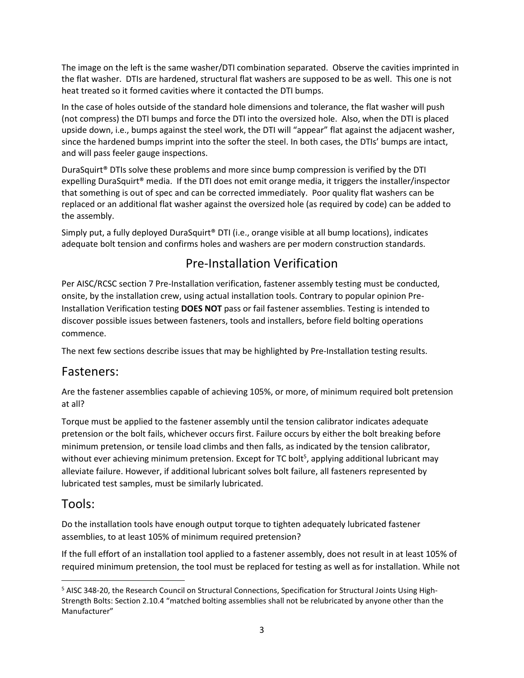The image on the left is the same washer/DTI combination separated. Observe the cavities imprinted in the flat washer. DTIs are hardened, structural flat washers are supposed to be as well. This one is not heat treated so it formed cavities where it contacted the DTI bumps.

In the case of holes outside of the standard hole dimensions and tolerance, the flat washer will push (not compress) the DTI bumps and force the DTI into the oversized hole. Also, when the DTI is placed upside down, i.e., bumps against the steel work, the DTI will "appear" flat against the adjacent washer, since the hardened bumps imprint into the softer the steel. In both cases, the DTIs' bumps are intact, and will pass feeler gauge inspections.

DuraSquirt® DTIs solve these problems and more since bump compression is verified by the DTI expelling DuraSquirt® media. If the DTI does not emit orange media, it triggers the installer/inspector that something is out of spec and can be corrected immediately. Poor quality flat washers can be replaced or an additional flat washer against the oversized hole (as required by code) can be added to the assembly.

Simply put, a fully deployed DuraSquirt® DTI (i.e., orange visible at all bump locations), indicates adequate bolt tension and confirms holes and washers are per modern construction standards.

## Pre-Installation Verification

Per AISC/RCSC section 7 Pre-Installation verification, fastener assembly testing must be conducted, onsite, by the installation crew, using actual installation tools. Contrary to popular opinion Pre-Installation Verification testing **DOES NOT** pass or fail fastener assemblies. Testing is intended to discover possible issues between fasteners, tools and installers, before field bolting operations commence.

The next few sections describe issues that may be highlighted by Pre-Installation testing results.

## Fasteners:

Are the fastener assemblies capable of achieving 105%, or more, of minimum required bolt pretension at all?

Torque must be applied to the fastener assembly until the tension calibrator indicates adequate pretension or the bolt fails, whichever occurs first. Failure occurs by either the bolt breaking before minimum pretension, or tensile load climbs and then falls, as indicated by the tension calibrator, without ever achieving minimum pretension. Except for TC bolt<sup>5</sup>, applying additional lubricant may alleviate failure. However, if additional lubricant solves bolt failure, all fasteners represented by lubricated test samples, must be similarly lubricated.

### Tools:

Do the installation tools have enough output torque to tighten adequately lubricated fastener assemblies, to at least 105% of minimum required pretension?

If the full effort of an installation tool applied to a fastener assembly, does not result in at least 105% of required minimum pretension, the tool must be replaced for testing as well as for installation. While not

<sup>5</sup> AISC 348-20, the Research Council on Structural Connections, Specification for Structural Joints Using High-Strength Bolts: Section 2.10.4 "matched bolting assemblies shall not be relubricated by anyone other than the Manufacturer"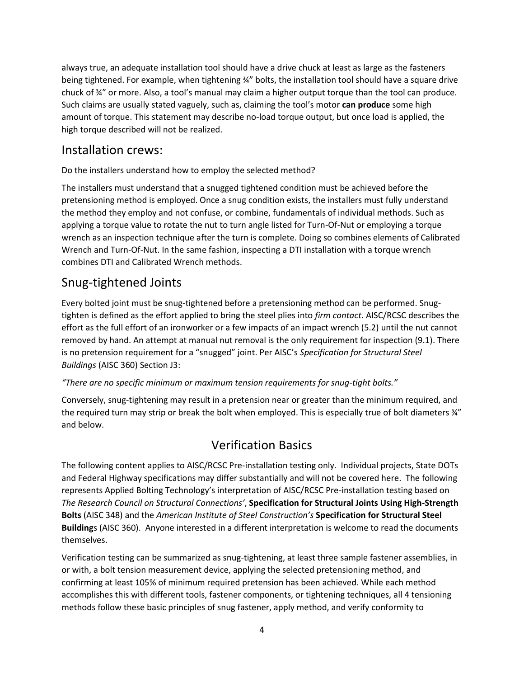always true, an adequate installation tool should have a drive chuck at least as large as the fasteners being tightened. For example, when tightening  $\frac{3}{4}$ " bolts, the installation tool should have a square drive chuck of ¾" or more. Also, a tool's manual may claim a higher output torque than the tool can produce. Such claims are usually stated vaguely, such as, claiming the tool's motor **can produce** some high amount of torque. This statement may describe no-load torque output, but once load is applied, the high torque described will not be realized.

### Installation crews:

Do the installers understand how to employ the selected method?

The installers must understand that a snugged tightened condition must be achieved before the pretensioning method is employed. Once a snug condition exists, the installers must fully understand the method they employ and not confuse, or combine, fundamentals of individual methods. Such as applying a torque value to rotate the nut to turn angle listed for Turn-Of-Nut or employing a torque wrench as an inspection technique after the turn is complete. Doing so combines elements of Calibrated Wrench and Turn-Of-Nut. In the same fashion, inspecting a DTI installation with a torque wrench combines DTI and Calibrated Wrench methods.

## Snug-tightened Joints

Every bolted joint must be snug-tightened before a pretensioning method can be performed. Snugtighten is defined as the effort applied to bring the steel plies into *firm contact*. AISC/RCSC describes the effort as the full effort of an ironworker or a few impacts of an impact wrench (5.2) until the nut cannot removed by hand. An attempt at manual nut removal is the only requirement for inspection (9.1). There is no pretension requirement for a "snugged" joint. Per AISC's *Specification for Structural Steel Buildings* (AISC 360) Section J3:

#### *"There are no specific minimum or maximum tension requirements for snug-tight bolts."*

Conversely, snug-tightening may result in a pretension near or greater than the minimum required, and the required turn may strip or break the bolt when employed. This is especially true of bolt diameters  $\frac{3}{4}$ " and below.

## Verification Basics

The following content applies to AISC/RCSC Pre-installation testing only. Individual projects, State DOTs and Federal Highway specifications may differ substantially and will not be covered here. The following represents Applied Bolting Technology's interpretation of AISC/RCSC Pre-installation testing based on *The Research Council on Structural Connections'*, **Specification for Structural Joints Using High-Strength Bolts** (AISC 348) and the *American Institute of Steel Construction's* **Specification for Structural Steel Building**s (AISC 360). Anyone interested in a different interpretation is welcome to read the documents themselves.

Verification testing can be summarized as snug-tightening, at least three sample fastener assemblies, in or with, a bolt tension measurement device, applying the selected pretensioning method, and confirming at least 105% of minimum required pretension has been achieved. While each method accomplishes this with different tools, fastener components, or tightening techniques, all 4 tensioning methods follow these basic principles of snug fastener, apply method, and verify conformity to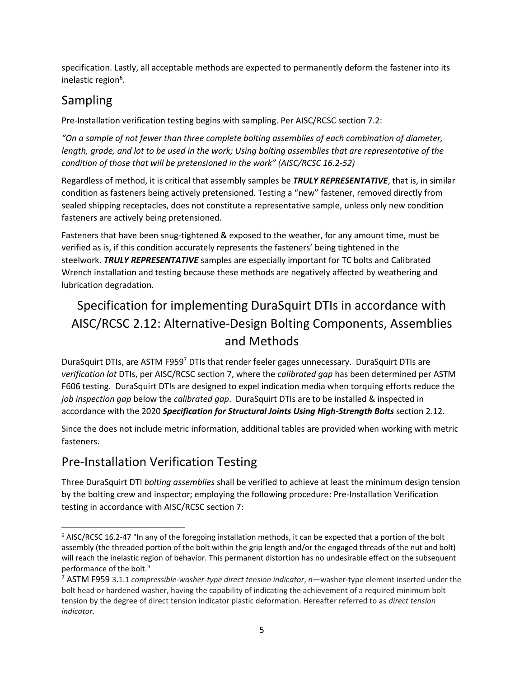specification. Lastly, all acceptable methods are expected to permanently deform the fastener into its inelastic region<sup>6</sup>.

## Sampling

Pre-Installation verification testing begins with sampling. Per AISC/RCSC section 7.2:

*"On a sample of not fewer than three complete bolting assemblies of each combination of diameter, length, grade, and lot to be used in the work; Using bolting assemblies that are representative of the condition of those that will be pretensioned in the work" (AISC/RCSC 16.2-52)*

Regardless of method, it is critical that assembly samples be *TRULY REPRESENTATIVE*, that is, in similar condition as fasteners being actively pretensioned. Testing a "new" fastener, removed directly from sealed shipping receptacles, does not constitute a representative sample, unless only new condition fasteners are actively being pretensioned.

Fasteners that have been snug-tightened & exposed to the weather, for any amount time, must be verified as is, if this condition accurately represents the fasteners' being tightened in the steelwork. *TRULY REPRESENTATIVE* samples are especially important for TC bolts and Calibrated Wrench installation and testing because these methods are negatively affected by weathering and lubrication degradation.

## Specification for implementing DuraSquirt DTIs in accordance with AISC/RCSC 2.12: Alternative-Design Bolting Components, Assemblies and Methods

DuraSquirt DTIs, are ASTM F959<sup>7</sup> DTIs that render feeler gages unnecessary. DuraSquirt DTIs are *verification lot* DTIs, per AISC/RCSC section 7, where the *calibrated gap* has been determined per ASTM F606 testing. DuraSquirt DTIs are designed to expel indication media when torquing efforts reduce the *job inspection gap* below the *calibrated gap*. DuraSquirt DTIs are to be installed & inspected in accordance with the 2020 *Specification for Structural Joints Using High-Strength Bolts* section 2.12.

Since the does not include metric information, additional tables are provided when working with metric fasteners.

## Pre-Installation Verification Testing

Three DuraSquirt DTI *bolting assemblies* shall be verified to achieve at least the minimum design tension by the bolting crew and inspector; employing the following procedure: Pre-Installation Verification testing in accordance with AISC/RCSC section 7:

<sup>6</sup> AISC/RCSC 16.2-47 "In any of the foregoing installation methods, it can be expected that a portion of the bolt assembly (the threaded portion of the bolt within the grip length and/or the engaged threads of the nut and bolt) will reach the inelastic region of behavior. This permanent distortion has no undesirable effect on the subsequent performance of the bolt."

<sup>7</sup> ASTM F959 3.1.1 *compressible-washer-type direct tension indicator*, *n*—washer-type element inserted under the bolt head or hardened washer, having the capability of indicating the achievement of a required minimum bolt tension by the degree of direct tension indicator plastic deformation. Hereafter referred to as *direct tension indicator*.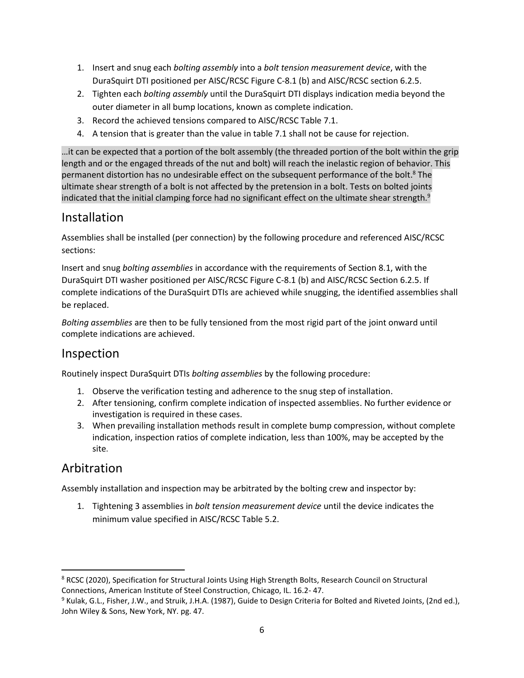- 1. Insert and snug each *bolting assembly* into a *bolt tension measurement device*, with the DuraSquirt DTI positioned per AISC/RCSC Figure C-8.1 (b) and AISC/RCSC section 6.2.5.
- 2. Tighten each *bolting assembly* until the DuraSquirt DTI displays indication media beyond the outer diameter in all bump locations, known as complete indication.
- 3. Record the achieved tensions compared to AISC/RCSC Table 7.1.
- 4. A tension that is greater than the value in table 7.1 shall not be cause for rejection.

…it can be expected that a portion of the bolt assembly (the threaded portion of the bolt within the grip length and or the engaged threads of the nut and bolt) will reach the inelastic region of behavior. This permanent distortion has no undesirable effect on the subsequent performance of the bolt.<sup>8</sup> The ultimate shear strength of a bolt is not affected by the pretension in a bolt. Tests on bolted joints indicated that the initial clamping force had no significant effect on the ultimate shear strength.<sup>9</sup>

### Installation

Assemblies shall be installed (per connection) by the following procedure and referenced AISC/RCSC sections:

Insert and snug *bolting assemblies* in accordance with the requirements of Section 8.1, with the DuraSquirt DTI washer positioned per AISC/RCSC Figure C-8.1 (b) and AISC/RCSC Section 6.2.5. If complete indications of the DuraSquirt DTIs are achieved while snugging, the identified assemblies shall be replaced.

*Bolting assemblies* are then to be fully tensioned from the most rigid part of the joint onward until complete indications are achieved.

## Inspection

Routinely inspect DuraSquirt DTIs *bolting assemblies* by the following procedure:

- 1. Observe the verification testing and adherence to the snug step of installation.
- 2. After tensioning, confirm complete indication of inspected assemblies. No further evidence or investigation is required in these cases.
- 3. When prevailing installation methods result in complete bump compression, without complete indication, inspection ratios of complete indication, less than 100%, may be accepted by the site.

## Arbitration

Assembly installation and inspection may be arbitrated by the bolting crew and inspector by:

1. Tightening 3 assemblies in *bolt tension measurement device* until the device indicates the minimum value specified in AISC/RCSC Table 5.2.

<sup>&</sup>lt;sup>8</sup> RCSC (2020), Specification for Structural Joints Using High Strength Bolts, Research Council on Structural Connections, American Institute of Steel Construction, Chicago, IL. 16.2- 47.

<sup>&</sup>lt;sup>9</sup> Kulak, G.L., Fisher, J.W., and Struik, J.H.A. (1987), Guide to Design Criteria for Bolted and Riveted Joints, (2nd ed.), John Wiley & Sons, New York, NY. pg. 47.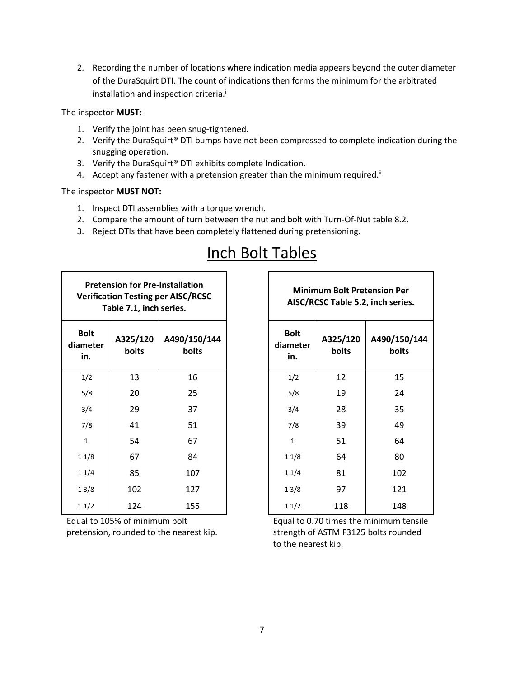2. Recording the number of locations where indication media appears beyond the outer diameter of the DuraSquirt DTI. The count of indications then forms the minimum for the arbitrated installation and inspection criteria. i

#### The inspector **MUST:**

- 1. Verify the joint has been snug-tightened.
- 2. Verify the DuraSquirt® DTI bumps have not been compressed to complete indication during the snugging operation.
- 3. Verify the DuraSquirt® DTI exhibits complete Indication.
- 4. Accept any fastener with a pretension greater than the minimum required.<sup>ii</sup>

#### The inspector **MUST NOT:**

- 1. Inspect DTI assemblies with a torque wrench.
- 2. Compare the amount of turn between the nut and bolt with Turn-Of-Nut table 8.2.
- 3. Reject DTIs that have been completely flattened during pretensioning.

| <b>Pretension for Pre-Installation</b><br><b>Verification Testing per AISC/RCSC</b><br>Table 7.1, inch series. |                   | <b>Minimum Bolt Pretension Pe</b><br>AISC/RCSC Table 5.2, inch serie |                                |                   |                   |
|----------------------------------------------------------------------------------------------------------------|-------------------|----------------------------------------------------------------------|--------------------------------|-------------------|-------------------|
| <b>Bolt</b><br>diameter<br>in.                                                                                 | A325/120<br>bolts | A490/150/144<br>bolts                                                | <b>Bolt</b><br>diameter<br>in. | A325/120<br>bolts | A490/150<br>bolt: |
| 1/2                                                                                                            | 13                | 16                                                                   | 1/2                            | 12                | 15                |
| 5/8                                                                                                            | 20                | 25                                                                   | 5/8                            | 19                | 24                |
| 3/4                                                                                                            | 29                | 37                                                                   | 3/4                            | 28                | 35                |
| 7/8                                                                                                            | 41                | 51                                                                   | 7/8                            | 39                | 49                |
| $\mathbf{1}$                                                                                                   | 54                | 67                                                                   | 1                              | 51                | 64                |
| 11/8                                                                                                           | 67                | 84                                                                   | 11/8                           | 64                | 80                |
| 11/4                                                                                                           | 85                | 107                                                                  | 11/4                           | 81                | 102               |
| 13/8                                                                                                           | 102               | 127                                                                  | 13/8                           | 97                | 121               |
| 11/2                                                                                                           | 124               | 155                                                                  | 11/2                           | 118               | 148               |

Equal to 105% of minimum bolt pretension, rounded to the nearest kip.

| <b>Minimum Bolt Pretension Per</b><br>AISC/RCSC Table 5.2, inch series. |                   |                       |  |  |
|-------------------------------------------------------------------------|-------------------|-----------------------|--|--|
| <b>Bolt</b><br>diameter<br>in.                                          | A325/120<br>bolts | A490/150/144<br>bolts |  |  |
| 1/2                                                                     | 12                | 15                    |  |  |
| 5/8                                                                     | 19                | 24                    |  |  |
| 3/4                                                                     | 28                | 35                    |  |  |
| 7/8                                                                     | 39                | 49                    |  |  |
| $\mathbf{1}$                                                            | 51                | 64                    |  |  |
| 11/8                                                                    | 64                | 80                    |  |  |
| 11/4                                                                    | 81                | 102                   |  |  |
| 13/8                                                                    | 97                | 121                   |  |  |
| 11/2                                                                    | 118               | 148                   |  |  |

┑

Equal to 0.70 times the minimum tensile strength of ASTM F3125 bolts rounded to the nearest kip.

# Inch Bolt Tables

 $\Gamma$